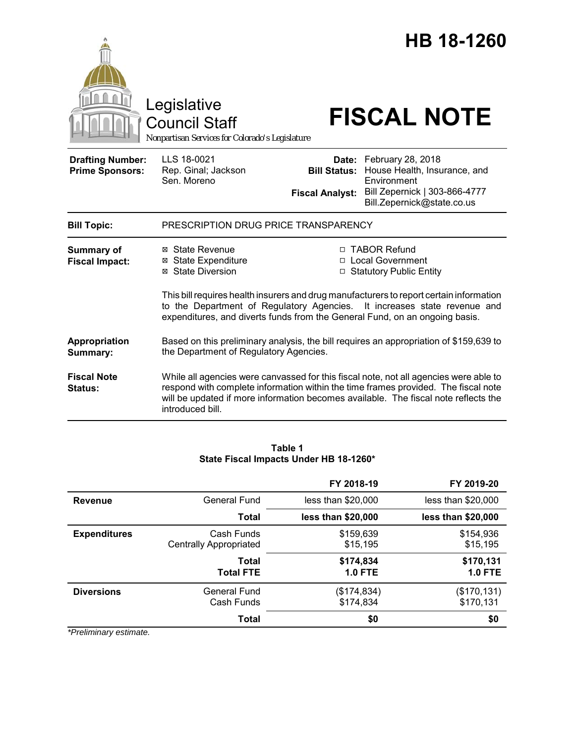|                                                   | Legislative<br><b>Council Staff</b><br>Nonpartisan Services for Colorado's Legislature                                 |                                                                                                                                                                                                                                                                                    | HB 18-1260<br><b>FISCAL NOTE</b>                                                                                                                                                                                                                                   |  |
|---------------------------------------------------|------------------------------------------------------------------------------------------------------------------------|------------------------------------------------------------------------------------------------------------------------------------------------------------------------------------------------------------------------------------------------------------------------------------|--------------------------------------------------------------------------------------------------------------------------------------------------------------------------------------------------------------------------------------------------------------------|--|
| <b>Drafting Number:</b><br><b>Prime Sponsors:</b> | LLS 18-0021<br>Rep. Ginal; Jackson<br>Sen. Moreno                                                                      | Date:<br><b>Bill Status:</b><br><b>Fiscal Analyst:</b>                                                                                                                                                                                                                             | February 28, 2018<br>House Health, Insurance, and<br>Environment<br>Bill Zepernick   303-866-4777<br>Bill.Zepernick@state.co.us                                                                                                                                    |  |
| <b>Bill Topic:</b>                                | PRESCRIPTION DRUG PRICE TRANSPARENCY                                                                                   |                                                                                                                                                                                                                                                                                    |                                                                                                                                                                                                                                                                    |  |
| <b>Summary of</b><br><b>Fiscal Impact:</b>        | ⊠ State Revenue<br><b>⊠</b> State Expenditure<br><b>⊠</b> State Diversion<br>to the Department of Regulatory Agencies. | □ TABOR Refund<br><b>Local Government</b><br>□ Statutory Public Entity<br>This bill requires health insurers and drug manufacturers to report certain information<br>It increases state revenue and<br>expenditures, and diverts funds from the General Fund, on an ongoing basis. |                                                                                                                                                                                                                                                                    |  |
| Appropriation<br>Summary:                         | the Department of Regulatory Agencies.                                                                                 |                                                                                                                                                                                                                                                                                    | Based on this preliminary analysis, the bill requires an appropriation of \$159,639 to                                                                                                                                                                             |  |
| <b>Fiscal Note</b><br>Status:                     | introduced bill.                                                                                                       |                                                                                                                                                                                                                                                                                    | While all agencies were canvassed for this fiscal note, not all agencies were able to<br>respond with complete information within the time frames provided. The fiscal note<br>will be updated if more information becomes available. The fiscal note reflects the |  |

### **Table 1 State Fiscal Impacts Under HB 18-1260\***

|                     |                                             | FY 2018-19                  | FY 2019-20                  |
|---------------------|---------------------------------------------|-----------------------------|-----------------------------|
| <b>Revenue</b>      | General Fund                                | less than \$20,000          | less than \$20,000          |
|                     | Total                                       | less than \$20,000          | less than \$20,000          |
| <b>Expenditures</b> | Cash Funds<br><b>Centrally Appropriated</b> | \$159,639<br>\$15,195       | \$154,936<br>\$15,195       |
|                     | Total<br><b>Total FTE</b>                   | \$174,834<br><b>1.0 FTE</b> | \$170,131<br><b>1.0 FTE</b> |
| <b>Diversions</b>   | General Fund<br>Cash Funds                  | (\$174,834)<br>\$174,834    | (\$170, 131)<br>\$170,131   |
|                     | <b>Total</b>                                | \$0                         | \$0                         |

*\*Preliminary estimate.*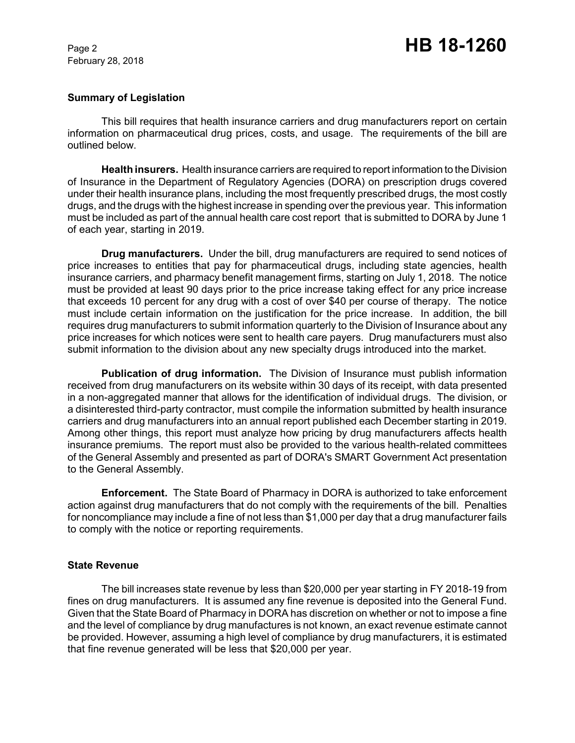February 28, 2018

### **Summary of Legislation**

This bill requires that health insurance carriers and drug manufacturers report on certain information on pharmaceutical drug prices, costs, and usage. The requirements of the bill are outlined below.

**Health insurers.** Health insurance carriers are required to report information to the Division of Insurance in the Department of Regulatory Agencies (DORA) on prescription drugs covered under their health insurance plans, including the most frequently prescribed drugs, the most costly drugs, and the drugs with the highest increase in spending over the previous year. This information must be included as part of the annual health care cost report that is submitted to DORA by June 1 of each year, starting in 2019.

**Drug manufacturers.** Under the bill, drug manufacturers are required to send notices of price increases to entities that pay for pharmaceutical drugs, including state agencies, health insurance carriers, and pharmacy benefit management firms, starting on July 1, 2018. The notice must be provided at least 90 days prior to the price increase taking effect for any price increase that exceeds 10 percent for any drug with a cost of over \$40 per course of therapy. The notice must include certain information on the justification for the price increase. In addition, the bill requires drug manufacturers to submit information quarterly to the Division of Insurance about any price increases for which notices were sent to health care payers. Drug manufacturers must also submit information to the division about any new specialty drugs introduced into the market.

**Publication of drug information.** The Division of Insurance must publish information received from drug manufacturers on its website within 30 days of its receipt, with data presented in a non-aggregated manner that allows for the identification of individual drugs. The division, or a disinterested third-party contractor, must compile the information submitted by health insurance carriers and drug manufacturers into an annual report published each December starting in 2019. Among other things, this report must analyze how pricing by drug manufacturers affects health insurance premiums. The report must also be provided to the various health-related committees of the General Assembly and presented as part of DORA's SMART Government Act presentation to the General Assembly.

**Enforcement.** The State Board of Pharmacy in DORA is authorized to take enforcement action against drug manufacturers that do not comply with the requirements of the bill. Penalties for noncompliance may include a fine of not less than \$1,000 per day that a drug manufacturer fails to comply with the notice or reporting requirements.

### **State Revenue**

The bill increases state revenue by less than \$20,000 per year starting in FY 2018-19 from fines on drug manufacturers. It is assumed any fine revenue is deposited into the General Fund. Given that the State Board of Pharmacy in DORA has discretion on whether or not to impose a fine and the level of compliance by drug manufactures is not known, an exact revenue estimate cannot be provided. However, assuming a high level of compliance by drug manufacturers, it is estimated that fine revenue generated will be less that \$20,000 per year.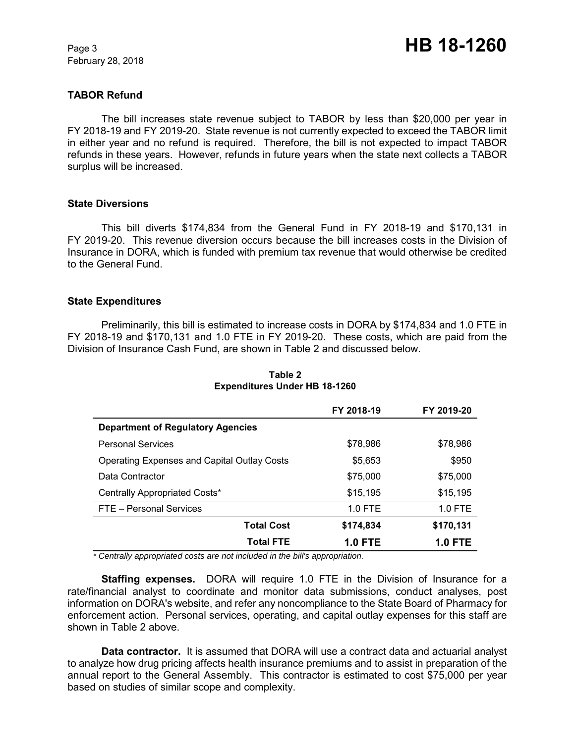February 28, 2018

## **TABOR Refund**

The bill increases state revenue subject to TABOR by less than \$20,000 per year in FY 2018-19 and FY 2019-20. State revenue is not currently expected to exceed the TABOR limit in either year and no refund is required. Therefore, the bill is not expected to impact TABOR refunds in these years. However, refunds in future years when the state next collects a TABOR surplus will be increased.

### **State Diversions**

This bill diverts \$174,834 from the General Fund in FY 2018-19 and \$170,131 in FY 2019-20. This revenue diversion occurs because the bill increases costs in the Division of Insurance in DORA, which is funded with premium tax revenue that would otherwise be credited to the General Fund.

#### **State Expenditures**

Preliminarily, this bill is estimated to increase costs in DORA by \$174,834 and 1.0 FTE in FY 2018-19 and \$170,131 and 1.0 FTE in FY 2019-20. These costs, which are paid from the Division of Insurance Cash Fund, are shown in Table 2 and discussed below.

|                                                    | FY 2018-19     | FY 2019-20     |
|----------------------------------------------------|----------------|----------------|
| <b>Department of Regulatory Agencies</b>           |                |                |
| <b>Personal Services</b>                           | \$78,986       | \$78,986       |
| <b>Operating Expenses and Capital Outlay Costs</b> | \$5.653        | \$950          |
| Data Contractor                                    | \$75,000       | \$75,000       |
| Centrally Appropriated Costs*                      | \$15,195       | \$15,195       |
| FTE - Personal Services                            | $1.0$ FTE      | $1.0$ FTE      |
| <b>Total Cost</b>                                  | \$174,834      | \$170,131      |
| <b>Total FTE</b>                                   | <b>1.0 FTE</b> | <b>1.0 FTE</b> |

**Table 2 Expenditures Under HB 18-1260**

 *\* Centrally appropriated costs are not included in the bill's appropriation.*

**Staffing expenses.** DORA will require 1.0 FTE in the Division of Insurance for a rate/financial analyst to coordinate and monitor data submissions, conduct analyses, post information on DORA's website, and refer any noncompliance to the State Board of Pharmacy for enforcement action. Personal services, operating, and capital outlay expenses for this staff are shown in Table 2 above.

**Data contractor.** It is assumed that DORA will use a contract data and actuarial analyst to analyze how drug pricing affects health insurance premiums and to assist in preparation of the annual report to the General Assembly. This contractor is estimated to cost \$75,000 per year based on studies of similar scope and complexity.